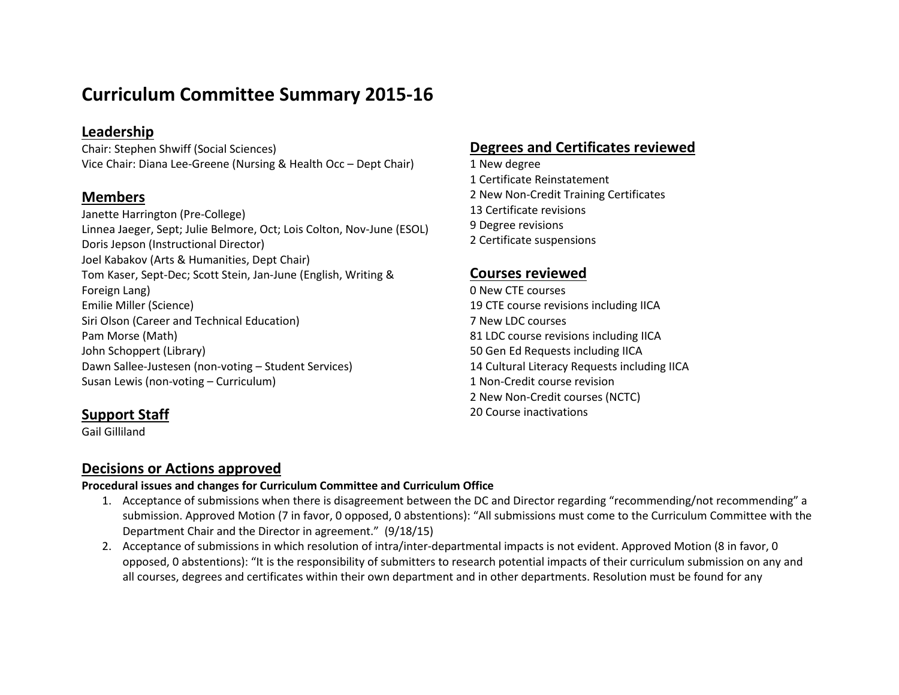# **Curriculum Committee Summary 2015-16**

## **Leadership**

Chair: Stephen Shwiff (Social Sciences) Vice Chair: Diana Lee-Greene (Nursing & Health Occ – Dept Chair)

#### **Members**

Janette Harrington (Pre-College) Linnea Jaeger, Sept; Julie Belmore, Oct; Lois Colton, Nov-June (ESOL) Doris Jepson (Instructional Director) Joel Kabakov (Arts & Humanities, Dept Chair) Tom Kaser, Sept-Dec; Scott Stein, Jan-June (English, Writing & Foreign Lang) Emilie Miller (Science) Siri Olson (Career and Technical Education) Pam Morse (Math) John Schoppert (Library) Dawn Sallee-Justesen (non-voting – Student Services) Susan Lewis (non-voting – Curriculum)

## **Support Staff**

Gail Gilliland

## **Degrees and Certificates reviewed**

1 New degree Certificate Reinstatement 2 New Non-Credit Training Certificates Certificate revisions Degree revisions Certificate suspensions

#### **Courses reviewed**

 New CTE courses 19 CTE course revisions including IICA New LDC courses LDC course revisions including IICA Gen Ed Requests including IICA Cultural Literacy Requests including IICA 1 Non-Credit course revision 2 New Non-Credit courses (NCTC) Course inactivations

#### **Decisions or Actions approved**

#### **Procedural issues and changes for Curriculum Committee and Curriculum Office**

- 1. Acceptance of submissions when there is disagreement between the DC and Director regarding "recommending/not recommending" a submission. Approved Motion (7 in favor, 0 opposed, 0 abstentions): "All submissions must come to the Curriculum Committee with the Department Chair and the Director in agreement." (9/18/15)
- 2. Acceptance of submissions in which resolution of intra/inter-departmental impacts is not evident. Approved Motion (8 in favor, 0 opposed, 0 abstentions): "It is the responsibility of submitters to research potential impacts of their curriculum submission on any and all courses, degrees and certificates within their own department and in other departments. Resolution must be found for any